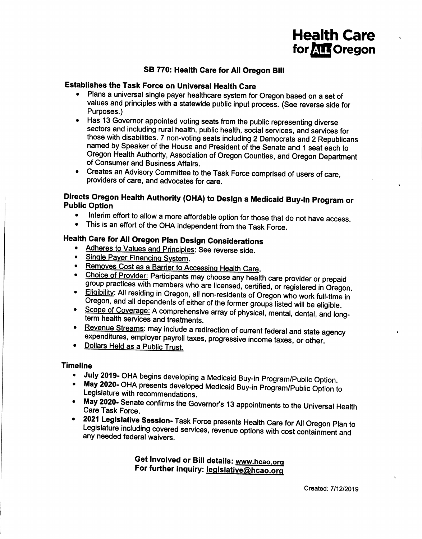# **Health Care** for **ATT** Oregon

### SB 770: Health Care for All Oregon Bill

### **Establishes the Task Force on Universal Health Care**

- Plans a universal single payer healthcare system for Oregon based on a set of values and principles with a statewide public input process. (See reverse side for Purposes.)
- Has 13 Governor appointed voting seats from the public representing diverse sectors and including rural health, public health, social services, and services for those with disabilities. 7 non-voting seats including 2 Democrats and 2 Republicans named by Speaker of the House and President of the Senate and 1 seat each to Oregon Health Authority, Association of Oregon Counties, and Oregon Department of Consumer and Business Affairs.
- Creates an Advisory Committee to the Task Force comprised of users of care, providers of care, and advocates for care.

### Directs Oregon Health Authority (OHA) to Design a Medicaid Buy-in Program or **Public Option**

- Interim effort to allow a more affordable option for those that do not have access.  $\bullet$
- This is an effort of the OHA independent from the Task Force.

### Health Care for All Oregon Plan Design Considerations

- Adheres to Values and Principles: See reverse side.
- Single Payer Financing System.
- Removes Cost as a Barrier to Accessing Health Care.
- Choice of Provider: Participants may choose any health care provider or prepaid group practices with members who are licensed, certified, or registered in Oregon.
- Eligibility: All residing in Oregon, all non-residents of Oregon who work full-time in Oregon, and all dependents of either of the former groups listed will be eligible.
- Scope of Coverage: A comprehensive array of physical, mental, dental, and longterm health services and treatments.
- Revenue Streams: may include a redirection of current federal and state agency expenditures, employer payroll taxes, progressive income taxes, or other.
- Dollars Held as a Public Trust.  $\bullet$

#### **Timeline**

- July 2019- OHA begins developing a Medicaid Buy-in Program/Public Option.  $\bullet$
- May 2020- OHA presents developed Medicaid Buy-in Program/Public Option to Legislature with recommendations.
- May 2020- Senate confirms the Governor's 13 appointments to the Universal Health Care Task Force.
- 2021 Legislative Session- Task Force presents Health Care for All Oregon Plan to Legislature including covered services, revenue options with cost containment and any needed federal waivers.

Get Involved or Bill details: www.hcao.org For further inquiry: legislative@hcao.org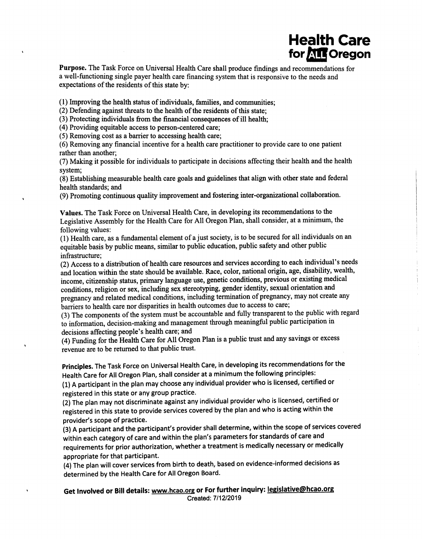# Health Care for **ATT** Oregon

Purpose. The Task Force on Universal Health Care shall produce findings and recommendations for a well-functioning single payer health care financing system that is responsive to the needs and expectations of the residents of this state by:

(l) Improving the health status of individuals, families, and communities;

(2) Defending against threats to the health of the residents of this state;

(3) Protecting individuals from the financial consequences of ill health;

(4) Providing equitable access to person-centered care;

(5) Removing cost as a barrier to accessing health care;

(6) Removing any financial incentive for a health care practitioner to provide care to one patient rather than another;

(7) Making it possible for individuals to participate in decisions affecting their health and the health system;

(8) Establishing measurable health care goals and guidelines that align with other state and federal health standards; and

(9) Promoting continuous qualrty improvement and fostering inter-organizational collaboration.

Values. The Task Force on Universal Health Care, in developing its recommendations to the Legislative Assembly for the Health Care for All Oregon Plan, shall consider, at a minimum, the following values:

(l) Health care, as a fundamental element of a just society, is to be secured for all individuals on an equitable basis by public means, similar to public education, public safety and other public infrastructure;

(2) Access to a distribution of health care resources and services according to each individual's needs and location within the state should be available. Race, color, national origin, age, disability, wealth, income, citizenship status, primary language use, genetic conditions, previous or existing medical conditions, religion or sex, including sex stereotyping, gender identity, sexual orientation and pregnancy and related medical conditions, including termination of pregnancy, may not create any barriers to health care nor disparities in health outcomes due to access to care;

(3) The components of the system must be accountable and fully transparent to the public with regard to information, decision-making and management through meaningful public participation in decisions affecting people's health care; and

(4) Funding for the Health Care for All Oregon Plan is a public trust and any savings or excess revenue are to be returned to that public trust.

principles. The Task Force on Universal Health Care, in developing its recommendations for the Health Care for All Oregon Plan, shall consider at a minimum the following principles:

(1) A participant in the plan may choose any individual provider who is licensed, certified or registered in this state or any group practice.

(Z) The plan may not discriminate against any individual provider who is licensed, certified or registered in this state to provide services covered by the plan and who is acting within the provider's scope of practice.

(3) A participant and the participant's provider shall determine, within the scope of services covered within each category of care and within the plan's parameters for standards of care and requirements for prior authorization, whether a treatment is medically necessary or medically appropriate for that participant.

(4) The plan will cover services from birth to death, based on evidence-informed decisions as determined by the Health Care for All Oregon Board.

Get Involved or Bill details: www.hcao.org or For further inquiry: <u>legislative@hcao.org</u><br>Created: 7/12/2019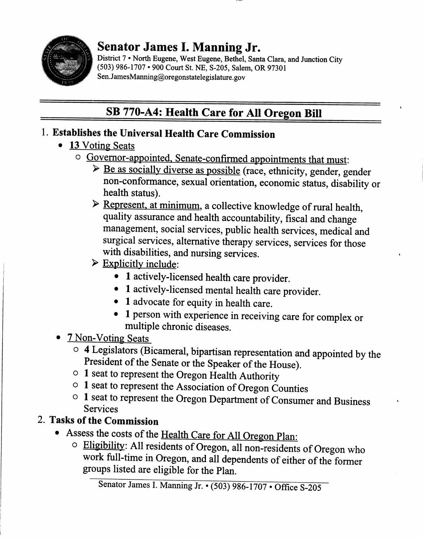

# Senator James I. Manning Jr.

District 7 • North Eugene, West Eugene, Bethel, Santa Clara, and Junction City (503) 986-1707 . 900 Court St. NE, S-205, Salem, OR 97301 Sen. JamesManning@oregonstatelegislature. gov

# SB 770-A4: Health Care for AII Oregon Bill

# 1. Establishes the Universal Health Care Commission

- 13 Voting Seats
	-
	- o Governor-appointed. Senate-confirmed appointments that must:<br>► Be as socially diverse as possible (race, ethnicity, gender, gender non-confonnance, sexual orientation, economic stafus, disability or health status).
		- $\triangleright$  Represent, at minimum, a collective knowledge of rural health, quality assurance and health accountability, fiscal and change management, social services, public health services, medical and surgical services, alternative therapy services, services for those with disabilities, and nursing services.
		- $\triangleright$  Explicitly include:
			- 1 actively-licensed health care provider.
			- . I actively-licensed mental health care provider.
			- 1 advocate for equity in health care.
			- . I person with experience in receiving care for complex or multiple chronic diseases.

### . 7 Non-Voting Seats

- o 4 Legislators (Bicameral, bipartisan representation and appointed by the President of the Senate or the Speaker of the House).
- $\circ$  1 seat to represent the Oregon Health Authority
- o I seat to represent the Association of oregon counties
- o I seat to represent the Oregon Department of Consumer and Business Services

# 2. Tasks of the Commission

- Assess the costs of the Health Care for All Oregon Plan:
	- $\circ$  Eligibility: All residents of Oregon, all non-residents of Oregon who work full-time in Oregon, and all dependents of either of the former groups listed are eligible for the Plan.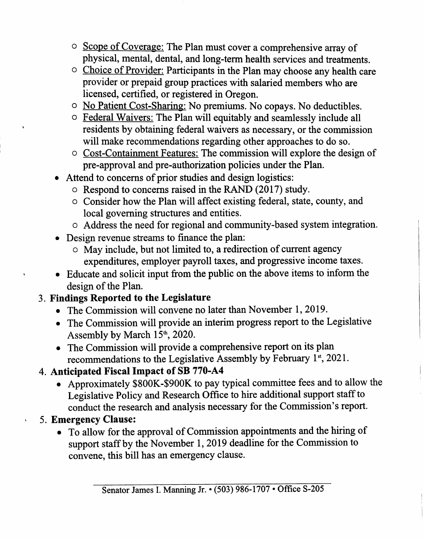- o Scope of Coverage: The Plan must cover a comprehensive array of physical, mental, dental, and long-term health services and treafinents.
- o Choice of Provider: Participants in the Plan may choose any health care provider or prepaid group practices with salaried members who are licensed, certified, or registered in Oregon.
- o No Patient Cost-Sharing: No premiums. No copays. No deductibles.
- o Federal Waivers: The Plan will equitably and seamlessly include all residents by obtaining federal waivers as necessary, or the commission will make recommendations regarding other approaches to do so.
- o Cost-Containment Features: The commission will explore the design of pre-approval and pre-authorization policies under the Plan.
- Attend to concerns of prior studies and design logistics:
	- o Respond to concerns raised in the RAND (2017) study.
	- o Consider how the Plan will affect existing federal, state, county, and local governing structures and entities.
	- o Address the need for regional and community-based system integration.
- Design revenue streams to finance the plan:
	- o May include, but not limited to, a redirection of current agency expenditures, employer payroll taxes, and progressive income taxes.
- o Educate and solicit input from the public on the above items to inform the design of the Plan.

# Findings Reported to the Legislature 3.

- The Commission will convene no later than November 1, 2019.
- . The Commission will provide an interim progress report to the Legislative Assembly by March  $15<sup>th</sup>$ , 2020.
- o The Commission will provide a comprehensive report on its plan recommendations to the Legislative Assembly by February  $1<sup>st</sup>$ , 2021.
- 4. Anticipated Fiscal Impact of SB 770-A4
	- . Approximately \$800K-\$900K to pay typical committee fees and to allow the Legislative Policy and Research Office to hire additional support staff to conduct the research and analysis necessary for the Commission's report.
- 5. Emergency Clause:
	- o To allow for the approval of Commission appointments and the hiring of support staff by the November 1, 2019 deadline for the Commission to convene, this bill has an emergency clause.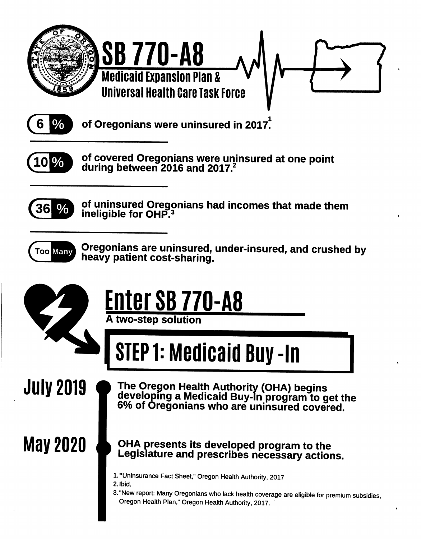



of Oregonians were uninsured in 2017.



of covered Oregonians were uninsured at one point during between 2016 and 2017.



of uninsured Oregonians had incomes that made them ineligible for OHP.<sup>3</sup>



Oregonians are uninsured, under-insured, and crushed by heavy patient cost-sharing.



# Enter SB 770-A8 A two-step solution

# **STEP 1: Medicaid Buy -In**

**July 2019** 

The Oregon Health Authority (OHA) begins<br>developing a Medicaid Buy-In program to get the<br>6% of Oregonians who are uninsured covered.

**May 2020** 

### OHA presents its developed program to the Legislature and prescribes necessary actions.

- 1. "Uninsurance Fact Sheet," Oregon Health Authority, 2017
- 2. Ibid.
- 3. "New report: Many Oregonians who lack health coverage are eligible for premium subsidies, Oregon Health Plan," Oregon Health Authority, 2017.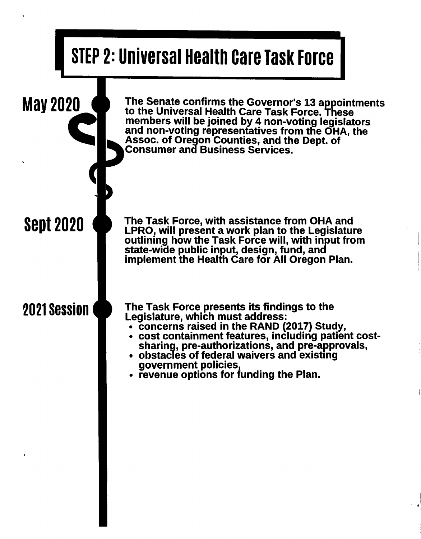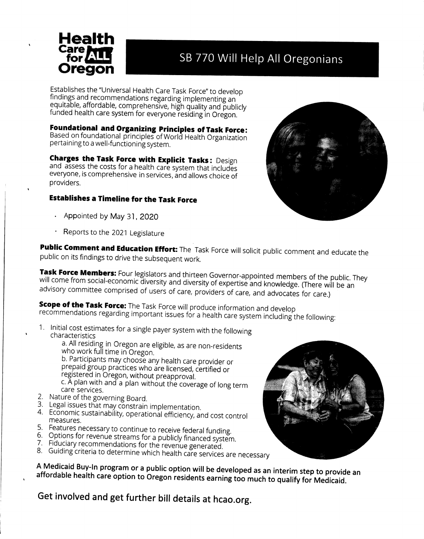

# SB 770 Will Help All Oregonians

Establishes the "Universal Health Care Task Force" to develop findings and recommendations regarding implementing an equitable, affordable, comprehensive, high quality and publicly funded health care system for everyone residing in Oregon.

**Foundational and Organizing Principles of Task Force:** Based on foundational principles of World Health Organization pertaining to a well-functioning system.

**Charges the Task Force with Explicit Tasks: Design** and assess the costs for a health care system that includes everyone, is comprehensive in services, and allows choice of providers.

### **Establishes a Timeline for the Task Force**

- Appointed by May 31, 2020
- Reports to the 2021 Legislature

Public Comment and Education Effort: The Task Force will solicit public comment and educate the public on its findings to drive the subsequent work.

Task Force Members: Four legislators and thirteen Governor-appointed members of the public. They will come from social-economic diversity and diversity of expertise and knowledge. (There will be an advisory committee comprised of users of care, providers of care, and advocates for care.)

**Scope of the Task Force:** The Task Force will produce information and develop recommendations regarding important issues for a health care system including the following:

1. Initial cost estimates for a single payer system with the following characteristics

a. All residing in Oregon are eligible, as are non-residents who work full time in Oregon.

b. Participants may choose any health care provider or prepaid group practices who are licensed, certified or registered in Oregon, without preapproval.

c. A plan with and a plan without the coverage of long term care services.

- 2. Nature of the governing Board.
- 3. Legal issues that may constrain implementation.
- 4. Economic sustainability, operational efficiency, and cost control measures.
- 5. Features necessary to continue to receive federal funding.
- 6. Options for revenue streams for a publicly financed system.
- 7. Fiduciary recommendations for the revenue generated.
- 8. Guiding criteria to determine which health care services are necessary

A Medicaid Buy-In program or a public option will be developed as an interim step to provide an affordable health care option to Oregon residents earning too much to qualify for Medicaid.

Get involved and get further bill details at hcao.org.